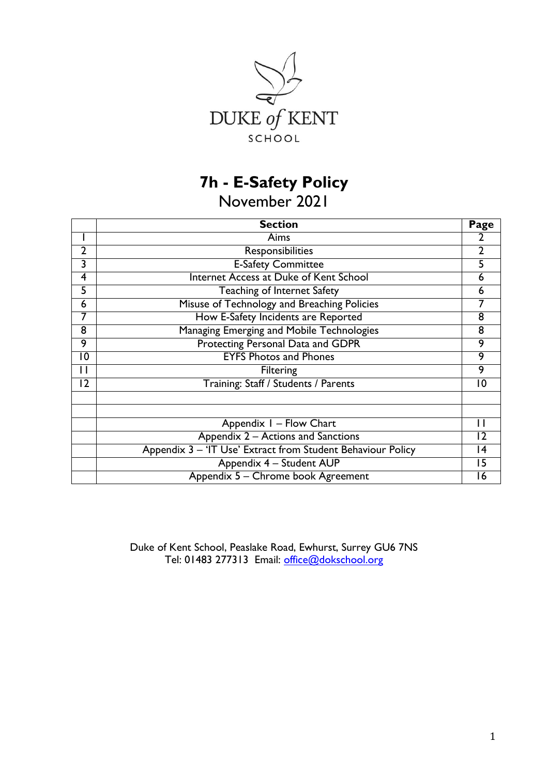

# **7h - E-Safety Policy**

November 2021

|                | <b>Section</b>                                              | Page |  |  |  |  |
|----------------|-------------------------------------------------------------|------|--|--|--|--|
|                | Aims                                                        | 2    |  |  |  |  |
| 2              | Responsibilities                                            |      |  |  |  |  |
| 3              | <b>E-Safety Committee</b>                                   | 5    |  |  |  |  |
| 4              | Internet Access at Duke of Kent School                      | 6    |  |  |  |  |
| 5              | Teaching of Internet Safety                                 | 6    |  |  |  |  |
| 6              | Misuse of Technology and Breaching Policies                 |      |  |  |  |  |
| 7              | How E-Safety Incidents are Reported                         | 8    |  |  |  |  |
| 8              | Managing Emerging and Mobile Technologies                   |      |  |  |  |  |
| 9              | Protecting Personal Data and GDPR                           |      |  |  |  |  |
| 10             | <b>EYFS Photos and Phones</b>                               |      |  |  |  |  |
| Ħ              | <b>Filtering</b>                                            |      |  |  |  |  |
| $\overline{2}$ | Training: Staff / Students / Parents                        | 10   |  |  |  |  |
|                |                                                             |      |  |  |  |  |
|                | Appendix I - Flow Chart                                     |      |  |  |  |  |
|                | Appendix 2 – Actions and Sanctions                          | 12   |  |  |  |  |
|                | Appendix 3 - 'IT Use' Extract from Student Behaviour Policy | 14   |  |  |  |  |
|                | Appendix 4 - Student AUP                                    | 15   |  |  |  |  |
|                | Appendix 5 - Chrome book Agreement                          | 16   |  |  |  |  |

Duke of Kent School, Peaslake Road, Ewhurst, Surrey GU6 7NS Tel: 01483 277313 Email: [office@dokschool.org](mailto:office@dokschool.org)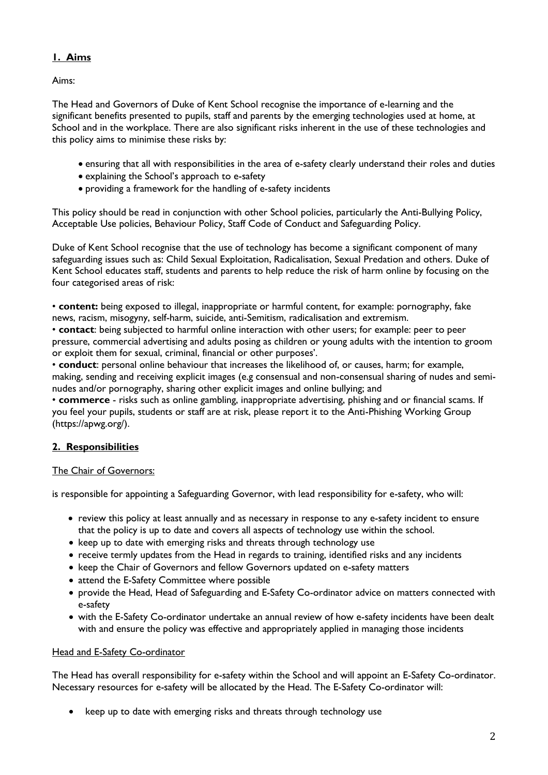# **1. Aims**

Aims:

The Head and Governors of Duke of Kent School recognise the importance of e-learning and the significant benefits presented to pupils, staff and parents by the emerging technologies used at home, at School and in the workplace. There are also significant risks inherent in the use of these technologies and this policy aims to minimise these risks by:

- ensuring that all with responsibilities in the area of e-safety clearly understand their roles and duties
- explaining the School's approach to e-safety
- providing a framework for the handling of e-safety incidents

This policy should be read in conjunction with other School policies, particularly the Anti-Bullying Policy, Acceptable Use policies, Behaviour Policy, Staff Code of Conduct and Safeguarding Policy.

Duke of Kent School recognise that the use of technology has become a significant component of many safeguarding issues such as: Child Sexual Exploitation, Radicalisation, Sexual Predation and others. Duke of Kent School educates staff, students and parents to help reduce the risk of harm online by focusing on the four categorised areas of risk:

• **content:** being exposed to illegal, inappropriate or harmful content, for example: pornography, fake news, racism, misogyny, self-harm, suicide, anti-Semitism, radicalisation and extremism.

• **contact**: being subjected to harmful online interaction with other users; for example: peer to peer pressure, commercial advertising and adults posing as children or young adults with the intention to groom or exploit them for sexual, criminal, financial or other purposes'.

• **conduct**: personal online behaviour that increases the likelihood of, or causes, harm; for example, making, sending and receiving explicit images (e.g consensual and non-consensual sharing of nudes and seminudes and/or pornography, sharing other explicit images and online bullying; and

• **commerce** - risks such as online gambling, inappropriate advertising, phishing and or financial scams. If you feel your pupils, students or staff are at risk, please report it to the Anti-Phishing Working Group (https://apwg.org/).

# **2. Responsibilities**

# The Chair of Governors:

is responsible for appointing a Safeguarding Governor, with lead responsibility for e-safety, who will:

- review this policy at least annually and as necessary in response to any e-safety incident to ensure that the policy is up to date and covers all aspects of technology use within the school.
- keep up to date with emerging risks and threats through technology use
- receive termly updates from the Head in regards to training, identified risks and any incidents
- keep the Chair of Governors and fellow Governors updated on e-safety matters
- attend the E-Safety Committee where possible
- provide the Head, Head of Safeguarding and E-Safety Co-ordinator advice on matters connected with e-safety
- with the E-Safety Co-ordinator undertake an annual review of how e-safety incidents have been dealt with and ensure the policy was effective and appropriately applied in managing those incidents

#### Head and E-Safety Co-ordinator

The Head has overall responsibility for e-safety within the School and will appoint an E-Safety Co-ordinator. Necessary resources for e-safety will be allocated by the Head. The E-Safety Co-ordinator will:

• keep up to date with emerging risks and threats through technology use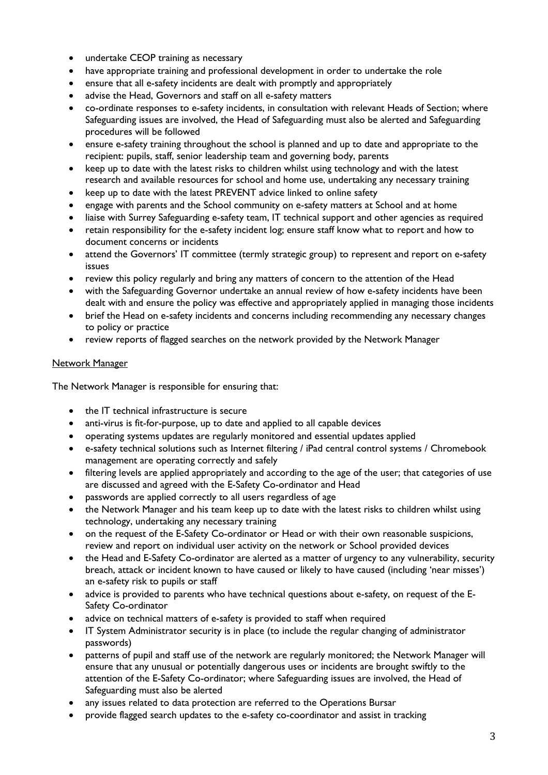- undertake CEOP training as necessary
- have appropriate training and professional development in order to undertake the role
- ensure that all e-safety incidents are dealt with promptly and appropriately
- advise the Head, Governors and staff on all e-safety matters
- co-ordinate responses to e-safety incidents, in consultation with relevant Heads of Section; where Safeguarding issues are involved, the Head of Safeguarding must also be alerted and Safeguarding procedures will be followed
- ensure e-safety training throughout the school is planned and up to date and appropriate to the recipient: pupils, staff, senior leadership team and governing body, parents
- keep up to date with the latest risks to children whilst using technology and with the latest research and available resources for school and home use, undertaking any necessary training
- keep up to date with the latest PREVENT advice linked to online safety
- engage with parents and the School community on e-safety matters at School and at home
- liaise with Surrey Safeguarding e-safety team, IT technical support and other agencies as required
- retain responsibility for the e-safety incident log; ensure staff know what to report and how to document concerns or incidents
- attend the Governors' IT committee (termly strategic group) to represent and report on e-safety issues
- review this policy regularly and bring any matters of concern to the attention of the Head
- with the Safeguarding Governor undertake an annual review of how e-safety incidents have been dealt with and ensure the policy was effective and appropriately applied in managing those incidents
- brief the Head on e-safety incidents and concerns including recommending any necessary changes to policy or practice
- review reports of flagged searches on the network provided by the Network Manager

## Network Manager

The Network Manager is responsible for ensuring that:

- the IT technical infrastructure is secure
- anti-virus is fit-for-purpose, up to date and applied to all capable devices
- operating systems updates are regularly monitored and essential updates applied
- e-safety technical solutions such as Internet filtering / iPad central control systems / Chromebook management are operating correctly and safely
- filtering levels are applied appropriately and according to the age of the user; that categories of use are discussed and agreed with the E-Safety Co-ordinator and Head
- passwords are applied correctly to all users regardless of age
- the Network Manager and his team keep up to date with the latest risks to children whilst using technology, undertaking any necessary training
- on the request of the E-Safety Co-ordinator or Head or with their own reasonable suspicions, review and report on individual user activity on the network or School provided devices
- the Head and E-Safety Co-ordinator are alerted as a matter of urgency to any vulnerability, security breach, attack or incident known to have caused or likely to have caused (including 'near misses') an e-safety risk to pupils or staff
- advice is provided to parents who have technical questions about e-safety, on request of the E-Safety Co-ordinator
- advice on technical matters of e-safety is provided to staff when required
- IT System Administrator security is in place (to include the regular changing of administrator passwords)
- patterns of pupil and staff use of the network are regularly monitored; the Network Manager will ensure that any unusual or potentially dangerous uses or incidents are brought swiftly to the attention of the E-Safety Co-ordinator; where Safeguarding issues are involved, the Head of Safeguarding must also be alerted
- any issues related to data protection are referred to the Operations Bursar
- provide flagged search updates to the e-safety co-coordinator and assist in tracking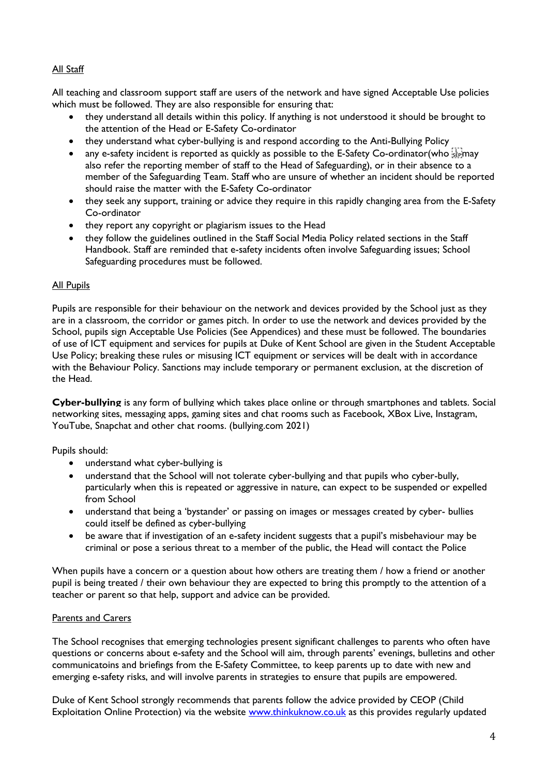## All Staff

All teaching and classroom support staff are users of the network and have signed Acceptable Use policies which must be followed. They are also responsible for ensuring that:

- they understand all details within this policy. If anything is not understood it should be brought to the attention of the Head or E-Safety Co-ordinator
- they understand what cyber-bullying is and respond according to the Anti-Bullying Policy
- any e-safety incident is reported as quickly as possible to the E-Safety Co-ordinator(who  $\frac{177}{35}$  may also refer the reporting member of staff to the Head of Safeguarding), or in their absence to a member of the Safeguarding Team. Staff who are unsure of whether an incident should be reported should raise the matter with the E-Safety Co-ordinator
- they seek any support, training or advice they require in this rapidly changing area from the E-Safety Co-ordinator
- they report any copyright or plagiarism issues to the Head
- they follow the guidelines outlined in the Staff Social Media Policy related sections in the Staff Handbook. Staff are reminded that e-safety incidents often involve Safeguarding issues; School Safeguarding procedures must be followed.

## All Pupils

Pupils are responsible for their behaviour on the network and devices provided by the School just as they are in a classroom, the corridor or games pitch. In order to use the network and devices provided by the School, pupils sign Acceptable Use Policies (See Appendices) and these must be followed. The boundaries of use of ICT equipment and services for pupils at Duke of Kent School are given in the Student Acceptable Use Policy; breaking these rules or misusing ICT equipment or services will be dealt with in accordance with the Behaviour Policy. Sanctions may include temporary or permanent exclusion, at the discretion of the Head.

**Cyber-bullying** is any form of bullying which takes place online or through smartphones and tablets. Social networking sites, messaging apps, gaming sites and chat rooms such as Facebook, XBox Live, Instagram, YouTube, Snapchat and other chat rooms. (bullying.com 2021)

Pupils should:

- understand what cyber-bullying is
- understand that the School will not tolerate cyber-bullying and that pupils who cyber-bully, particularly when this is repeated or aggressive in nature, can expect to be suspended or expelled from School
- understand that being a 'bystander' or passing on images or messages created by cyber- bullies could itself be defined as cyber-bullying
- be aware that if investigation of an e-safety incident suggests that a pupil's misbehaviour may be criminal or pose a serious threat to a member of the public, the Head will contact the Police

When pupils have a concern or a question about how others are treating them / how a friend or another pupil is being treated / their own behaviour they are expected to bring this promptly to the attention of a teacher or parent so that help, support and advice can be provided.

#### Parents and Carers

The School recognises that emerging technologies present significant challenges to parents who often have questions or concerns about e-safety and the School will aim, through parents' evenings, bulletins and other communicatoins and briefings from the E-Safety Committee, to keep parents up to date with new and emerging e-safety risks, and will involve parents in strategies to ensure that pupils are empowered.

Duke of Kent School strongly recommends that parents follow the advice provided by CEOP (Child Exploitation Online Protection) via the website [www.thinkuknow.co.uk](http://www.thinkuknow.co.uk/) as this provides regularly updated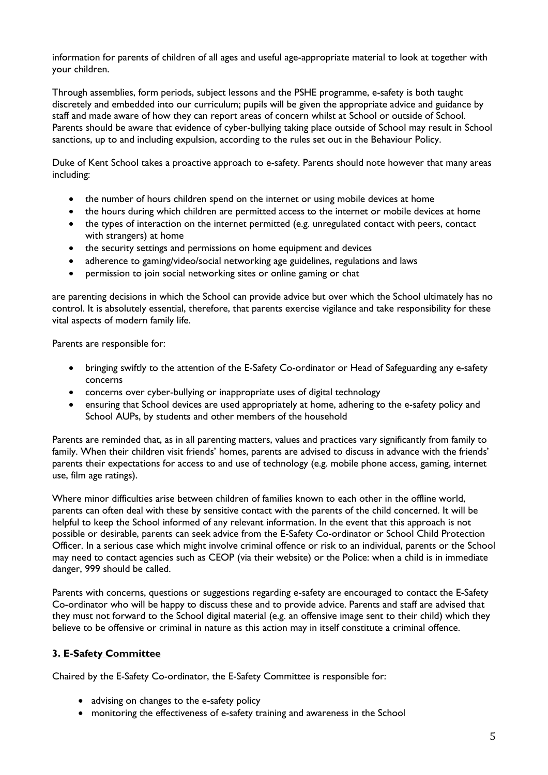information for parents of children of all ages and useful age-appropriate material to look at together with your children.

Through assemblies, form periods, subject lessons and the PSHE programme, e-safety is both taught discretely and embedded into our curriculum; pupils will be given the appropriate advice and guidance by staff and made aware of how they can report areas of concern whilst at School or outside of School. Parents should be aware that evidence of cyber-bullying taking place outside of School may result in School sanctions, up to and including expulsion, according to the rules set out in the Behaviour Policy.

Duke of Kent School takes a proactive approach to e-safety. Parents should note however that many areas including:

- the number of hours children spend on the internet or using mobile devices at home
- the hours during which children are permitted access to the internet or mobile devices at home
- the types of interaction on the internet permitted (e.g. unregulated contact with peers, contact with strangers) at home
- the security settings and permissions on home equipment and devices
- adherence to gaming/video/social networking age guidelines, regulations and laws
- permission to join social networking sites or online gaming or chat

are parenting decisions in which the School can provide advice but over which the School ultimately has no control. It is absolutely essential, therefore, that parents exercise vigilance and take responsibility for these vital aspects of modern family life.

Parents are responsible for:

- bringing swiftly to the attention of the E-Safety Co-ordinator or Head of Safeguarding any e-safety concerns
- concerns over cyber-bullying or inappropriate uses of digital technology
- ensuring that School devices are used appropriately at home, adhering to the e-safety policy and School AUPs, by students and other members of the household

Parents are reminded that, as in all parenting matters, values and practices vary significantly from family to family. When their children visit friends' homes, parents are advised to discuss in advance with the friends' parents their expectations for access to and use of technology (e.g. mobile phone access, gaming, internet use, film age ratings).

Where minor difficulties arise between children of families known to each other in the offline world, parents can often deal with these by sensitive contact with the parents of the child concerned. It will be helpful to keep the School informed of any relevant information. In the event that this approach is not possible or desirable, parents can seek advice from the E-Safety Co-ordinator or School Child Protection Officer. In a serious case which might involve criminal offence or risk to an individual, parents or the School may need to contact agencies such as CEOP (via their website) or the Police: when a child is in immediate danger, 999 should be called.

Parents with concerns, questions or suggestions regarding e-safety are encouraged to contact the E-Safety Co-ordinator who will be happy to discuss these and to provide advice. Parents and staff are advised that they must not forward to the School digital material (e.g. an offensive image sent to their child) which they believe to be offensive or criminal in nature as this action may in itself constitute a criminal offence.

#### **3. E-Safety Committee**

Chaired by the E-Safety Co-ordinator, the E-Safety Committee is responsible for:

- advising on changes to the e-safety policy
- monitoring the effectiveness of e-safety training and awareness in the School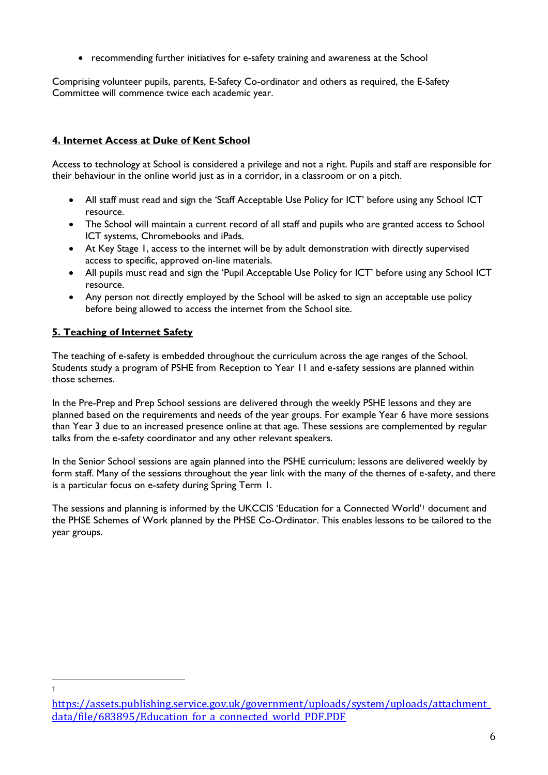recommending further initiatives for e-safety training and awareness at the School

Comprising volunteer pupils, parents, E-Safety Co-ordinator and others as required, the E-Safety Committee will commence twice each academic year.

# **4. Internet Access at Duke of Kent School**

Access to technology at School is considered a privilege and not a right. Pupils and staff are responsible for their behaviour in the online world just as in a corridor, in a classroom or on a pitch.

- All staff must read and sign the 'Staff Acceptable Use Policy for ICT' before using any School ICT resource.
- The School will maintain a current record of all staff and pupils who are granted access to School ICT systems, Chromebooks and iPads.
- At Key Stage 1, access to the internet will be by adult demonstration with directly supervised access to specific, approved on-line materials.
- All pupils must read and sign the 'Pupil Acceptable Use Policy for ICT' before using any School ICT resource.
- Any person not directly employed by the School will be asked to sign an acceptable use policy before being allowed to access the internet from the School site.

# **5. Teaching of Internet Safety**

 $\overline{a}$ 1

The teaching of e-safety is embedded throughout the curriculum across the age ranges of the School. Students study a program of PSHE from Reception to Year 11 and e-safety sessions are planned within those schemes.

In the Pre-Prep and Prep School sessions are delivered through the weekly PSHE lessons and they are planned based on the requirements and needs of the year groups. For example Year 6 have more sessions than Year 3 due to an increased presence online at that age. These sessions are complemented by regular talks from the e-safety coordinator and any other relevant speakers.

In the Senior School sessions are again planned into the PSHE curriculum; lessons are delivered weekly by form staff. Many of the sessions throughout the year link with the many of the themes of e-safety, and there is a particular focus on e-safety during Spring Term 1.

The sessions and planning is informed by the UKCCIS 'Education for a Connected World'<sup>1</sup> document and the PHSE Schemes of Work planned by the PHSE Co-Ordinator. This enables lessons to be tailored to the year groups.

[https://assets.publishing.service.gov.uk/government/uploads/system/uploads/attachment\\_](https://assets.publishing.service.gov.uk/government/uploads/system/uploads/attachment_data/file/683895/Education_for_a_connected_world_PDF.PDF) data/file/683895/Education for a connected world PDF.PDF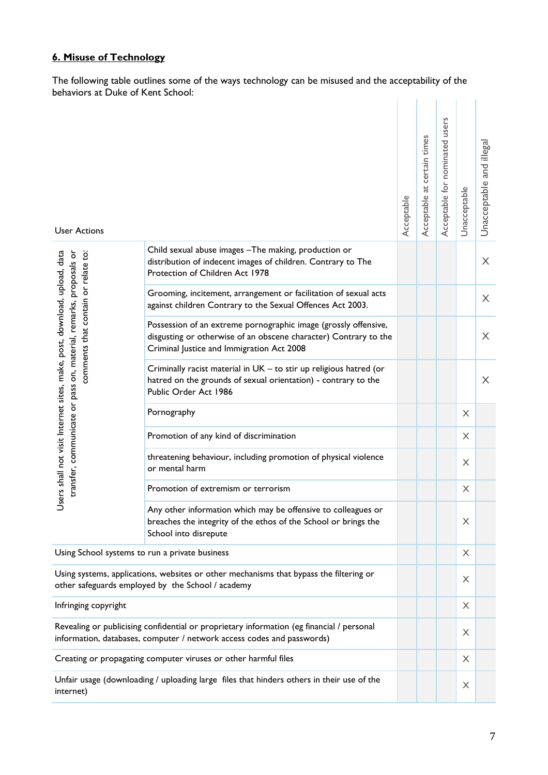# **6. Misuse of Technology**

The following table outlines some of the ways technology can be misused and the acceptability of the behaviors at Duke of Kent School: and the company

| <b>User Actions</b>                                                                                                                                                                  |                                                                                                                                                                                  | Acceptable | certain times<br>at<br>Acceptable | users<br>Acceptable for nominated | Unacceptable              | Unacceptable and illegal |
|--------------------------------------------------------------------------------------------------------------------------------------------------------------------------------------|----------------------------------------------------------------------------------------------------------------------------------------------------------------------------------|------------|-----------------------------------|-----------------------------------|---------------------------|--------------------------|
|                                                                                                                                                                                      | Child sexual abuse images - The making, production or<br>distribution of indecent images of children. Contrary to The<br>Protection of Children Act 1978                         |            |                                   |                                   |                           | X                        |
|                                                                                                                                                                                      | Grooming, incitement, arrangement or facilitation of sexual acts<br>against children Contrary to the Sexual Offences Act 2003.                                                   |            |                                   |                                   |                           | $\times$                 |
| Users shall not visit Internet sites, make, post, download, upload, data<br>transfer, communicate or pass on, material, remarks, proposals or<br>comments that contain or relate to: | Possession of an extreme pornographic image (grossly offensive,<br>disgusting or otherwise of an obscene character) Contrary to the<br>Criminal Justice and Immigration Act 2008 |            |                                   |                                   |                           | X                        |
|                                                                                                                                                                                      | Criminally racist material in UK - to stir up religious hatred (or<br>hatred on the grounds of sexual orientation) - contrary to the<br>Public Order Act 1986                    |            |                                   |                                   |                           | $\times$                 |
|                                                                                                                                                                                      | Pornography                                                                                                                                                                      |            |                                   |                                   | $\times$                  |                          |
|                                                                                                                                                                                      | Promotion of any kind of discrimination                                                                                                                                          |            |                                   |                                   | $\times$                  |                          |
|                                                                                                                                                                                      | threatening behaviour, including promotion of physical violence<br>or mental harm                                                                                                |            |                                   |                                   | $\boldsymbol{\mathsf{X}}$ |                          |
|                                                                                                                                                                                      | Promotion of extremism or terrorism                                                                                                                                              |            |                                   |                                   | X                         |                          |
|                                                                                                                                                                                      | Any other information which may be offensive to colleagues or<br>breaches the integrity of the ethos of the School or brings the<br>School into disrepute                        |            |                                   |                                   | X                         |                          |
| Using School systems to run a private business                                                                                                                                       |                                                                                                                                                                                  |            |                                   | $\times$                          |                           |                          |
| Using systems, applications, websites or other mechanisms that bypass the filtering or<br>other safeguards employed by the School / academy                                          |                                                                                                                                                                                  |            |                                   |                                   | $\times$                  |                          |
| Infringing copyright                                                                                                                                                                 |                                                                                                                                                                                  |            |                                   | X                                 |                           |                          |
| Revealing or publicising confidential or proprietary information (eg financial / personal<br>information, databases, computer / network access codes and passwords)                  |                                                                                                                                                                                  |            |                                   |                                   | $\times$                  |                          |
| Creating or propagating computer viruses or other harmful files                                                                                                                      |                                                                                                                                                                                  |            |                                   |                                   | X                         |                          |
| Unfair usage (downloading / uploading large files that hinders others in their use of the<br>$\boldsymbol{\mathsf{X}}$<br>internet)                                                  |                                                                                                                                                                                  |            |                                   |                                   |                           |                          |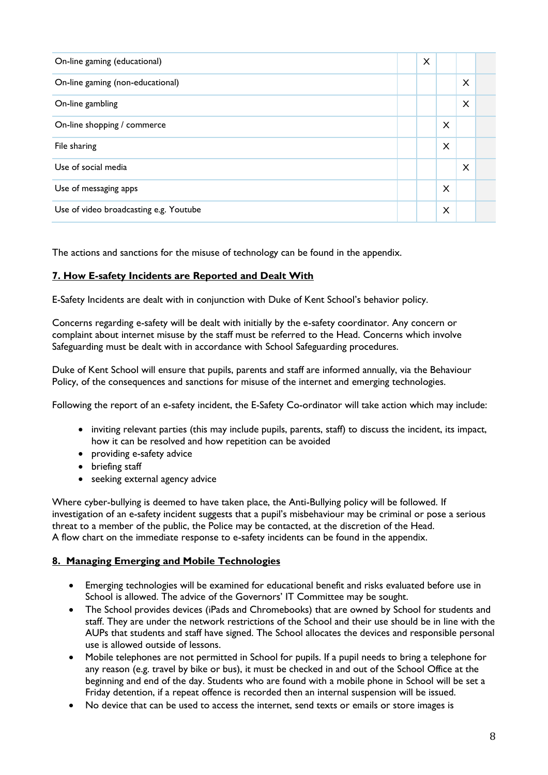| On-line gaming (educational)           | X |          |          |  |
|----------------------------------------|---|----------|----------|--|
| On-line gaming (non-educational)       |   |          | $\times$ |  |
| On-line gambling                       |   |          | X        |  |
| On-line shopping / commerce            |   | $\times$ |          |  |
| File sharing                           |   | X        |          |  |
| Use of social media                    |   |          | X        |  |
| Use of messaging apps                  |   | $\times$ |          |  |
| Use of video broadcasting e.g. Youtube |   | X        |          |  |

The actions and sanctions for the misuse of technology can be found in the appendix.

# **7. How E-safety Incidents are Reported and Dealt With**

E-Safety Incidents are dealt with in conjunction with Duke of Kent School's behavior policy.

Concerns regarding e-safety will be dealt with initially by the e-safety coordinator. Any concern or complaint about internet misuse by the staff must be referred to the Head. Concerns which involve Safeguarding must be dealt with in accordance with School Safeguarding procedures.

Duke of Kent School will ensure that pupils, parents and staff are informed annually, via the Behaviour Policy, of the consequences and sanctions for misuse of the internet and emerging technologies.

Following the report of an e-safety incident, the E-Safety Co-ordinator will take action which may include:

- inviting relevant parties (this may include pupils, parents, staff) to discuss the incident, its impact, how it can be resolved and how repetition can be avoided
- providing e-safety advice
- briefing staff
- seeking external agency advice

Where cyber-bullying is deemed to have taken place, the Anti-Bullying policy will be followed. If investigation of an e-safety incident suggests that a pupil's misbehaviour may be criminal or pose a serious threat to a member of the public, the Police may be contacted, at the discretion of the Head. A flow chart on the immediate response to e-safety incidents can be found in the appendix.

# **8. Managing Emerging and Mobile Technologies**

- Emerging technologies will be examined for educational benefit and risks evaluated before use in School is allowed. The advice of the Governors' IT Committee may be sought.
- The School provides devices (iPads and Chromebooks) that are owned by School for students and staff. They are under the network restrictions of the School and their use should be in line with the AUPs that students and staff have signed. The School allocates the devices and responsible personal use is allowed outside of lessons.
- Mobile telephones are not permitted in School for pupils. If a pupil needs to bring a telephone for any reason (e.g. travel by bike or bus), it must be checked in and out of the School Office at the beginning and end of the day. Students who are found with a mobile phone in School will be set a Friday detention, if a repeat offence is recorded then an internal suspension will be issued.
- No device that can be used to access the internet, send texts or emails or store images is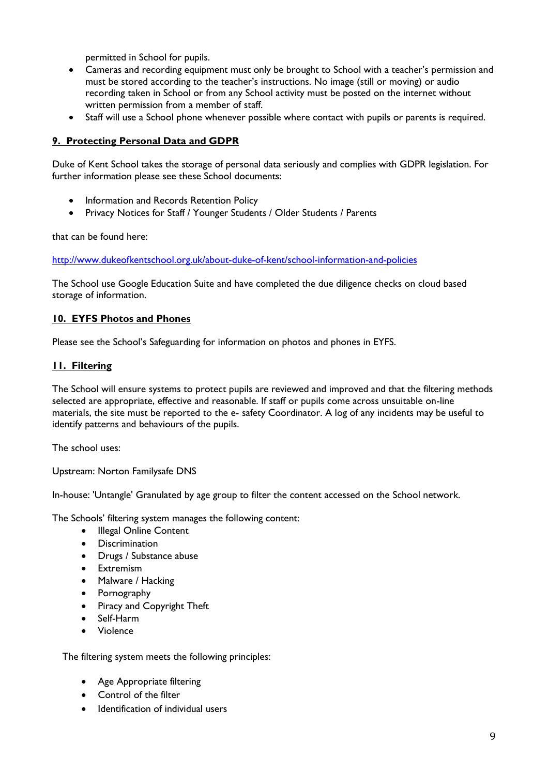permitted in School for pupils.

- Cameras and recording equipment must only be brought to School with a teacher's permission and must be stored according to the teacher's instructions. No image (still or moving) or audio recording taken in School or from any School activity must be posted on the internet without written permission from a member of staff.
- Staff will use a School phone whenever possible where contact with pupils or parents is required.

#### **9. Protecting Personal Data and GDPR**

Duke of Kent School takes the storage of personal data seriously and complies with GDPR legislation. For further information please see these School documents:

- Information and Records Retention Policy
- Privacy Notices for Staff / Younger Students / Older Students / Parents

that can be found here:

<http://www.dukeofkentschool.org.uk/about-duke-of-kent/school-information-and-policies>

The School use Google Education Suite and have completed the due diligence checks on cloud based storage of information.

#### **10. EYFS Photos and Phones**

Please see the School's Safeguarding for information on photos and phones in EYFS.

#### **11. Filtering**

The School will ensure systems to protect pupils are reviewed and improved and that the filtering methods selected are appropriate, effective and reasonable. If staff or pupils come across unsuitable on-line materials, the site must be reported to the e- safety Coordinator. A log of any incidents may be useful to identify patterns and behaviours of the pupils.

The school uses:

Upstream: Norton Familysafe DNS

In-house: 'Untangle' Granulated by age group to filter the content accessed on the School network.

The Schools' filtering system manages the following content:

- Illegal Online Content
- Discrimination
- Drugs / Substance abuse
- **•** Extremism
- Malware / Hacking
- Pornography
- Piracy and Copyright Theft
- Self-Harm
- Violence

The filtering system meets the following principles:

- Age Appropriate filtering
- Control of the filter
- Identification of individual users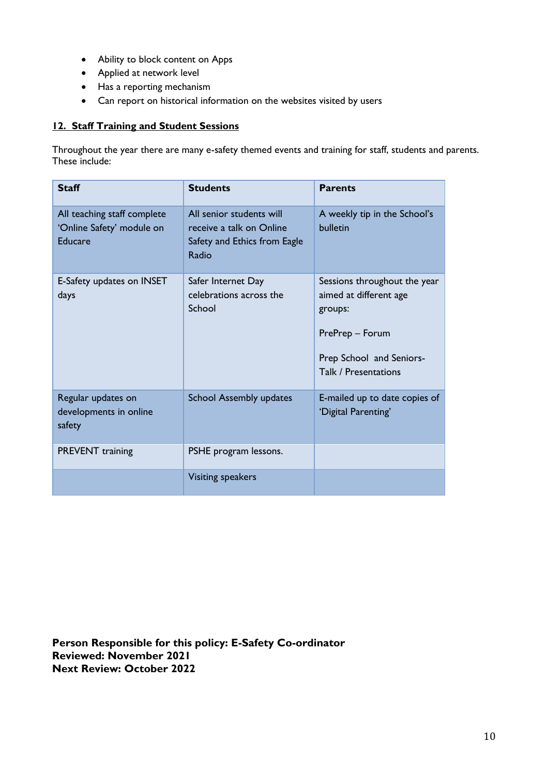- Ability to block content on Apps
- Applied at network level
- Has a reporting mechanism
- Can report on historical information on the websites visited by users

# **12. Staff Training and Student Sessions**

Throughout the year there are many e-safety themed events and training for staff, students and parents. These include:

| <b>Staff</b>                                                        | <b>Students</b>                                                                               | <b>Parents</b>                                                                                                                           |
|---------------------------------------------------------------------|-----------------------------------------------------------------------------------------------|------------------------------------------------------------------------------------------------------------------------------------------|
| All teaching staff complete<br>'Online Safety' module on<br>Educare | All senior students will<br>receive a talk on Online<br>Safety and Ethics from Eagle<br>Radio | A weekly tip in the School's<br>bulletin                                                                                                 |
| E-Safety updates on INSET<br>days                                   | Safer Internet Day<br>celebrations across the<br>School                                       | Sessions throughout the year<br>aimed at different age<br>groups:<br>PrePrep - Forum<br>Prep School and Seniors-<br>Talk / Presentations |
| Regular updates on<br>developments in online<br>safety              | <b>School Assembly updates</b>                                                                | E-mailed up to date copies of<br>'Digital Parenting'                                                                                     |
| <b>PREVENT</b> training                                             | PSHE program lessons.                                                                         |                                                                                                                                          |
|                                                                     | <b>Visiting speakers</b>                                                                      |                                                                                                                                          |

**Person Responsible for this policy: E-Safety Co-ordinator Reviewed: November 2021 Next Review: October 2022**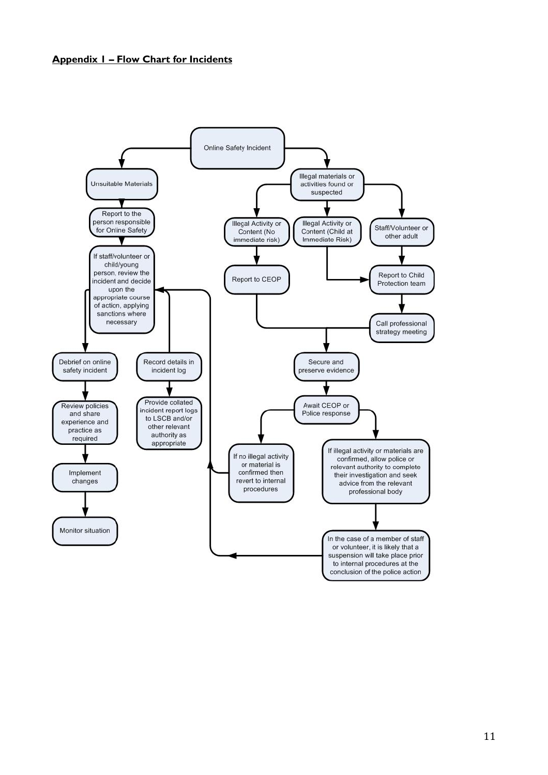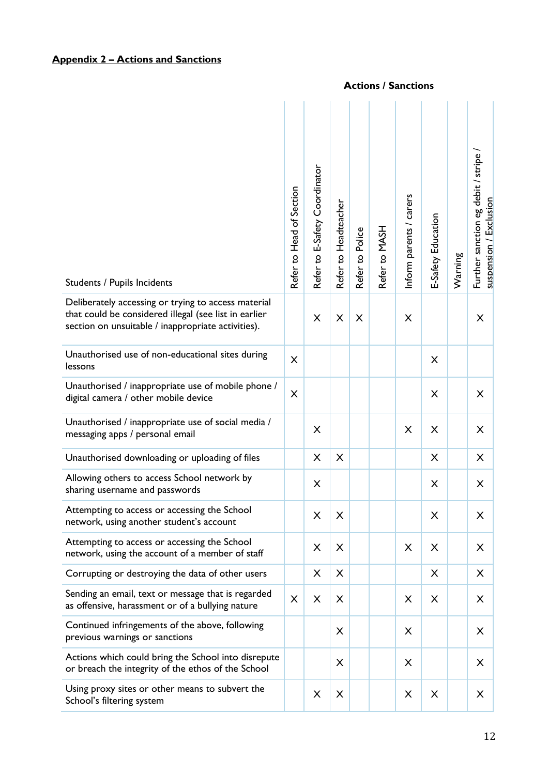#### **Appendix 2 – Actions and Sanctions**

# Further sanction eg debit / stripe / Further sanction eg debit / stripe Refer to E-Safety Coordinator Refer to E-Safety Coordinator Refer to Head of Section Refer to Head of Section nform parents / carers Inform parents / carers suspension / Exclusion Refer to Headteacher suspension / Exclusion Refer to Headteacher E-Safety Education E-Safety Education Refer to MASH Refer to Police Refer to Police Warning Students / Pupils Incidents Deliberately accessing or trying to access material that could be considered illegal (see list in earlier X X X X X section on unsuitable / inappropriate activities). Unauthorised use of non-educational sites during lessons <sup>X</sup> <sup>X</sup> Unauthorised / inappropriate use of mobile phone / digital camera / other mobile device X X X Unauthorised / inappropriate use of social media /  $\sum_{n=1}^{\infty}$  matches 3 x  $\sum_{n=1}^{\infty}$  messaging apps / personal email Unauthorised downloading or uploading of files  $\vert$   $\vert$   $\times$   $\vert$   $\times$   $\vert$   $\vert$   $\times$   $\vert$   $\vert$   $\times$ Allowing others to access School network by  $\begin{array}{c|c|c|c|c|c|c|c|c} \hline \end{array}$  sharing username and passwords  $\begin{array}{c|c|c|c|c|c|c} \hline \end{array}$   $\begin{array}{c|c|c|c} \hline \end{array}$   $\begin{array}{c|c|c|c} \hline \end{array}$   $\begin{array}{c|c|c} \hline \end{array}$   $\begin{array}{c|c|c} \hline \end{array}$   $\begin{array}{c|c} \hline \end{array}$   $\begin{array}{c} \hline \end{$ Attempting to access or accessing the School network, using another student's account <sup>X</sup> <sup>X</sup> <sup>X</sup> <sup>X</sup> Attempting to access or accessing the School Attempting to access or accessing the school  $\begin{array}{c|c|c|c|c} \setminus & \times & \times & \times & \times \end{array}$ Corrupting or destroying the data of other users X X X X Sending an email, text or message that is regarded as offensive, harassment or of a bullying nature <sup>X</sup> <sup>X</sup> <sup>X</sup> <sup>X</sup> <sup>X</sup> <sup>X</sup> Continued infringements of the above, following previous warnings or sanctions <sup>X</sup> <sup>X</sup> <sup>X</sup>

Actions which could bring the School into disrepute  $\alpha$  or breach the integrity of the ethos of the School  $\begin{vmatrix} x \\ x \end{vmatrix}$   $\begin{vmatrix} x \\ x \end{vmatrix}$   $\begin{vmatrix} x \\ x \end{vmatrix}$   $\begin{vmatrix} x \\ x \end{vmatrix}$ Using proxy sites or other means to subvert the Using proxy sites or other means to subvert the  $X \mid X \mid X \mid X \mid X \mid X \mid X$ 

#### **Actions / Sanctions**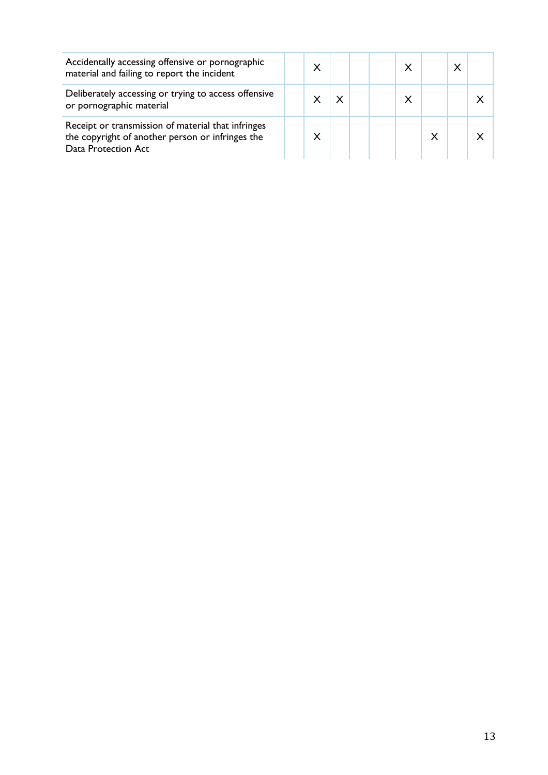| Accidentally accessing offensive or pornographic<br>material and failing to report the incident                               | x |  | x |   | X |  |
|-------------------------------------------------------------------------------------------------------------------------------|---|--|---|---|---|--|
| Deliberately accessing or trying to access offensive<br>or pornographic material                                              |   |  | x |   |   |  |
| Receipt or transmission of material that infringes<br>the copyright of another person or infringes the<br>Data Protection Act |   |  |   | X |   |  |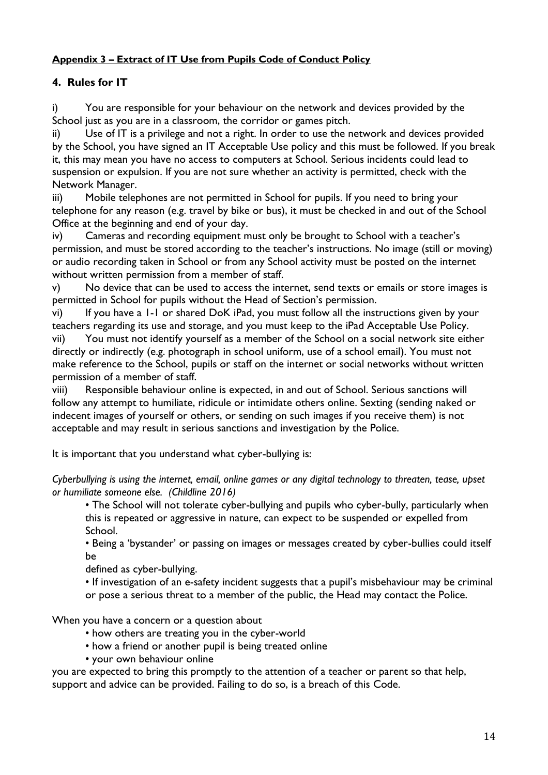# **Appendix 3 – Extract of IT Use from Pupils Code of Conduct Policy**

# **4. Rules for IT**

i) You are responsible for your behaviour on the network and devices provided by the School just as you are in a classroom, the corridor or games pitch.

ii) Use of IT is a privilege and not a right. In order to use the network and devices provided by the School, you have signed an IT Acceptable Use policy and this must be followed. If you break it, this may mean you have no access to computers at School. Serious incidents could lead to suspension or expulsion. If you are not sure whether an activity is permitted, check with the Network Manager.

iii) Mobile telephones are not permitted in School for pupils. If you need to bring your telephone for any reason (e.g. travel by bike or bus), it must be checked in and out of the School Office at the beginning and end of your day.

iv) Cameras and recording equipment must only be brought to School with a teacher's permission, and must be stored according to the teacher's instructions. No image (still or moving) or audio recording taken in School or from any School activity must be posted on the internet without written permission from a member of staff.

v) No device that can be used to access the internet, send texts or emails or store images is permitted in School for pupils without the Head of Section's permission.

vi) If you have a 1-1 or shared DoK iPad, you must follow all the instructions given by your teachers regarding its use and storage, and you must keep to the iPad Acceptable Use Policy.

vii) You must not identify yourself as a member of the School on a social network site either directly or indirectly (e.g. photograph in school uniform, use of a school email). You must not make reference to the School, pupils or staff on the internet or social networks without written permission of a member of staff.

viii) Responsible behaviour online is expected, in and out of School. Serious sanctions will follow any attempt to humiliate, ridicule or intimidate others online. Sexting (sending naked or indecent images of yourself or others, or sending on such images if you receive them) is not acceptable and may result in serious sanctions and investigation by the Police.

It is important that you understand what cyber-bullying is:

*Cyberbullying is using the internet, email, online games or any digital technology to threaten, tease, upset or humiliate someone else. (Childline 2016)*

• The School will not tolerate cyber-bullying and pupils who cyber-bully, particularly when this is repeated or aggressive in nature, can expect to be suspended or expelled from School.

• Being a 'bystander' or passing on images or messages created by cyber-bullies could itself be

defined as cyber-bullying.

• If investigation of an e-safety incident suggests that a pupil's misbehaviour may be criminal or pose a serious threat to a member of the public, the Head may contact the Police.

When you have a concern or a question about

- how others are treating you in the cyber-world
- how a friend or another pupil is being treated online
- your own behaviour online

you are expected to bring this promptly to the attention of a teacher or parent so that help, support and advice can be provided. Failing to do so, is a breach of this Code.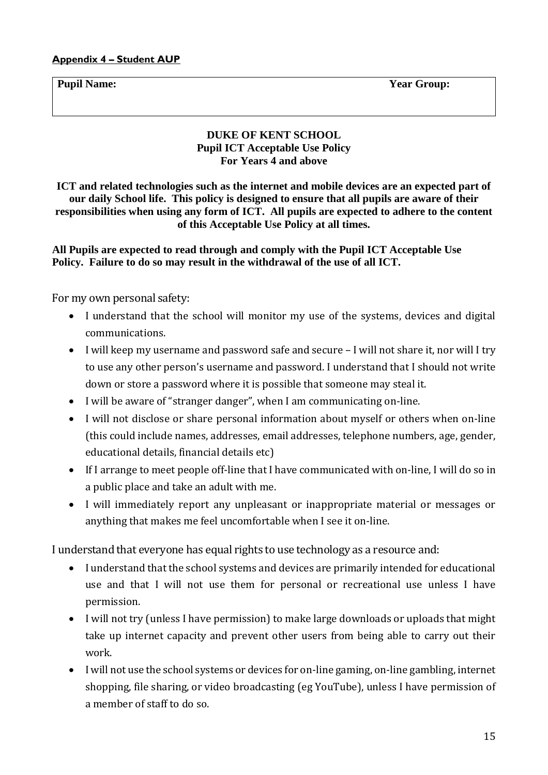**Pupil Name: Year Group:**

# **DUKE OF KENT SCHOOL Pupil ICT Acceptable Use Policy For Years 4 and above**

**ICT and related technologies such as the internet and mobile devices are an expected part of our daily School life. This policy is designed to ensure that all pupils are aware of their responsibilities when using any form of ICT. All pupils are expected to adhere to the content of this Acceptable Use Policy at all times.**

# **All Pupils are expected to read through and comply with the Pupil ICT Acceptable Use Policy. Failure to do so may result in the withdrawal of the use of all ICT.**

For my own personal safety:

- I understand that the school will monitor my use of the systems, devices and digital communications.
- I will keep my username and password safe and secure I will not share it, nor will I try to use any other person's username and password. I understand that I should not write down or store a password where it is possible that someone may steal it.
- I will be aware of "stranger danger", when I am communicating on-line.
- I will not disclose or share personal information about myself or others when on-line (this could include names, addresses, email addresses, telephone numbers, age, gender, educational details, financial details etc)
- If I arrange to meet people off-line that I have communicated with on-line, I will do so in a public place and take an adult with me.
- I will immediately report any unpleasant or inappropriate material or messages or anything that makes me feel uncomfortable when I see it on-line.

I understand that everyone has equal rights to use technology as a resource and:

- I understand that the school systems and devices are primarily intended for educational use and that I will not use them for personal or recreational use unless I have permission.
- I will not try (unless I have permission) to make large downloads or uploads that might take up internet capacity and prevent other users from being able to carry out their work.
- I will not use the school systems or devices for on-line gaming, on-line gambling, internet shopping, file sharing, or video broadcasting (eg YouTube), unless I have permission of a member of staff to do so.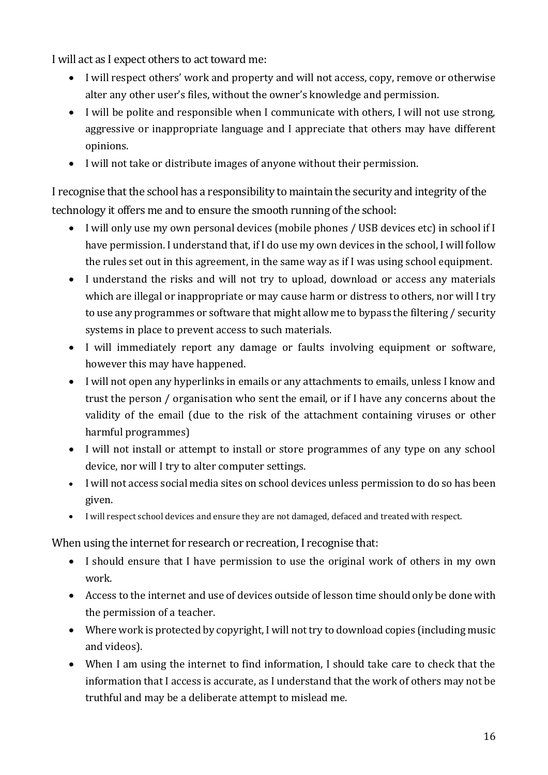I will act as I expect others to act toward me:

- I will respect others' work and property and will not access, copy, remove or otherwise alter any other user's files, without the owner's knowledge and permission.
- I will be polite and responsible when I communicate with others, I will not use strong, aggressive or inappropriate language and I appreciate that others may have different opinions.
- I will not take or distribute images of anyone without their permission.

I recognise that the school has a responsibility to maintain the security and integrity of the technology it offers me and to ensure the smooth running of the school:

- I will only use my own personal devices (mobile phones / USB devices etc) in school if I have permission. I understand that, if I do use my own devices in the school, I will follow the rules set out in this agreement, in the same way as if I was using school equipment.
- I understand the risks and will not try to upload, download or access any materials which are illegal or inappropriate or may cause harm or distress to others, nor will I try to use any programmes or software that might allow me to bypass the filtering / security systems in place to prevent access to such materials.
- I will immediately report any damage or faults involving equipment or software, however this may have happened.
- I will not open any hyperlinks in emails or any attachments to emails, unless I know and trust the person / organisation who sent the email, or if I have any concerns about the validity of the email (due to the risk of the attachment containing viruses or other harmful programmes)
- I will not install or attempt to install or store programmes of any type on any school device, nor will I try to alter computer settings.
- I will not access social media sites on school devices unless permission to do so has been given.
- I will respect school devices and ensure they are not damaged, defaced and treated with respect.

When using the internet for research or recreation, I recognise that:

- I should ensure that I have permission to use the original work of others in my own work.
- Access to the internet and use of devices outside of lesson time should only be done with the permission of a teacher.
- Where work is protected by copyright, I will not try to download copies (including music and videos).
- When I am using the internet to find information, I should take care to check that the information that I access is accurate, as I understand that the work of others may not be truthful and may be a deliberate attempt to mislead me.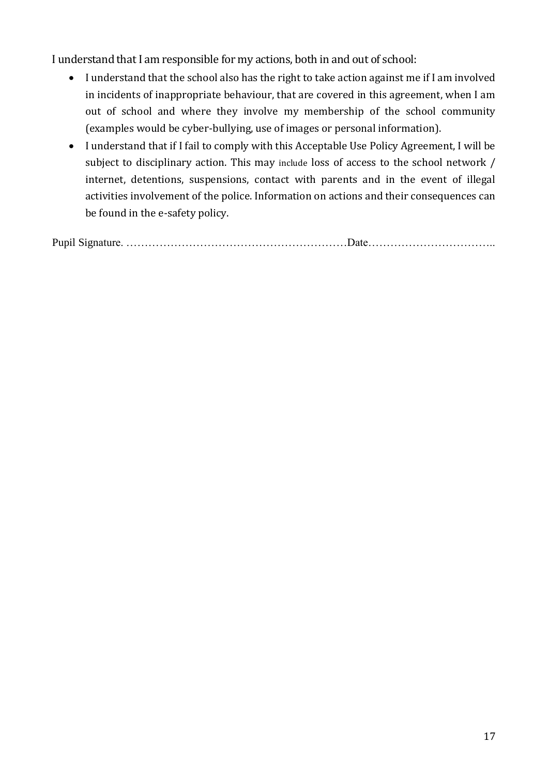I understand that I am responsible for my actions, both in and out of school:

- I understand that the school also has the right to take action against me if I am involved in incidents of inappropriate behaviour, that are covered in this agreement, when I am out of school and where they involve my membership of the school community (examples would be cyber-bullying, use of images or personal information).
- I understand that if I fail to comply with this Acceptable Use Policy Agreement, I will be subject to disciplinary action. This may include loss of access to the school network / internet, detentions, suspensions, contact with parents and in the event of illegal activities involvement of the police. Information on actions and their consequences can be found in the e-safety policy.

Pupil Signature. ……………………………………………………Date……………………………..